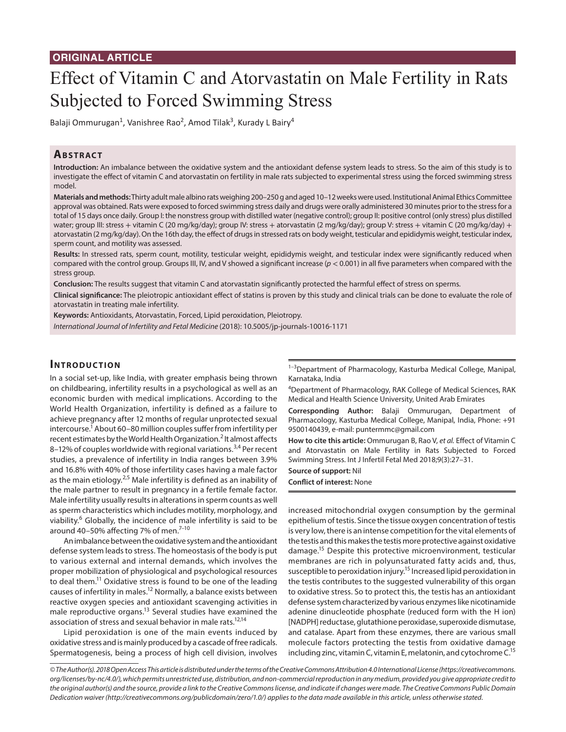# **ORIGINAL ARTICLE**

# Effect of Vitamin C and Atorvastatin on Male Fertility in Rats Subjected to Forced Swimming Stress

Balaji Ommurugan<sup>1</sup>, Vanishree Rao<sup>2</sup>, Amod Tilak<sup>3</sup>, Kurady L Bairy<sup>4</sup>

## **ABSTRACT**

**Introduction:** An imbalance between the oxidative system and the antioxidant defense system leads to stress. So the aim of this study is to investigate the effect of vitamin C and atorvastatin on fertility in male rats subjected to experimental stress using the forced swimming stress model.

**Materials and methods:** Thirty adult male albino rats weighing 200–250 g and aged 10–12 weeks were used. Institutional Animal Ethics Committee approval was obtained. Rats were exposed to forced swimming stress daily and drugs were orally administered 30 minutes prior to the stress for a total of 15 days once daily. Group I: the nonstress group with distilled water (negative control); group II: positive control (only stress) plus distilled water; group III: stress + vitamin C (20 mg/kg/day); group IV: stress + atorvastatin (2 mg/kg/day); group V: stress + vitamin C (20 mg/kg/day) + atorvastatin (2 mg/kg/day). On the 16th day, the effect of drugs in stressed rats on body weight, testicular and epididymis weight, testicular index, sperm count, and motility was assessed.

**Results:** In stressed rats, sperm count, motility, testicular weight, epididymis weight, and testicular index were significantly reduced when compared with the control group. Groups III, IV, and V showed a significant increase (*p* < 0.001) in all five parameters when compared with the stress group.

**Conclusion:** The results suggest that vitamin C and atorvastatin significantly protected the harmful effect of stress on sperms.

**Clinical significance:** The pleiotropic antioxidant effect of statins is proven by this study and clinical trials can be done to evaluate the role of atorvastatin in treating male infertility.

**Keywords:** Antioxidants, Atorvastatin, Forced, Lipid peroxidation, Pleiotropy.

*International Journal of Infertility and Fetal Medicine* (2018): 10.5005/jp-journals-10016-1171

## **INTRODUCTION**

In a social set-up, like India, with greater emphasis being thrown on childbearing, infertility results in a psychological as well as an economic burden with medical implications. According to the World Health Organization, infertility is defined as a failure to achieve pregnancy after 12 months of regular unprotected sexual intercourse.<sup>1</sup> About 60–80 million couples suffer from infertility per recent estimates by the World Health Organization.<sup>2</sup> It almost affects 8–12% of couples worldwide with regional variations.<sup>3,4</sup> Per recent studies, a prevalence of infertility in India ranges between 3.9% and 16.8% with 40% of those infertility cases having a male factor as the main etiology.<sup>2,5</sup> Male infertility is defined as an inability of the male partner to result in pregnancy in a fertile female factor. Male infertility usually results in alterations in sperm counts as well as sperm characteristics which includes motility, morphology, and viability.<sup>6</sup> Globally, the incidence of male infertility is said to be around 40-50% affecting 7% of men.<sup>7-10</sup>

An imbalance between the oxidative system and the antioxidant defense system leads to stress. The homeostasis of the body is put to various external and internal demands, which involves the proper mobilization of physiological and psychological resources to deal them.<sup>11</sup> Oxidative stress is found to be one of the leading causes of infertility in males.12 Normally, a balance exists between reactive oxygen species and antioxidant scavenging activities in male reproductive organs.13 Several studies have examined the association of stress and sexual behavior in male rats.<sup>12,14</sup>

Lipid peroxidation is one of the main events induced by oxidative stress and is mainly produced by a cascade of free radicals. Spermatogenesis, being a process of high cell division, involves <sup>1-3</sup>Department of Pharmacology, Kasturba Medical College, Manipal, Karnataka, India

4 Department of Pharmacology, RAK College of Medical Sciences, RAK Medical and Health Science University, United Arab Emirates

**Corresponding Author:** Balaji Ommurugan, Department of Pharmacology, Kasturba Medical College, Manipal, India, Phone: +91 9500140439, e-mail: puntermmc@gmail.com

**How to cite this article:** Ommurugan B, Rao V, *et al.* Effect of Vitamin C and Atorvastatin on Male Fertility in Rats Subjected to Forced Swimming Stress. Int J Infertil Fetal Med 2018;9(3):27–31.

**Source of support:** Nil

**Conflict of interest:** None

increased mitochondrial oxygen consumption by the germinal epithelium of testis. Since the tissue oxygen concentration of testis is very low, there is an intense competition for the vital elements of the testis and this makes the testis more protective against oxidative damage.15 Despite this protective microenvironment, testicular membranes are rich in polyunsaturated fatty acids and, thus, susceptible to peroxidation injury.<sup>15</sup> Increased lipid peroxidation in the testis contributes to the suggested vulnerability of this organ to oxidative stress. So to protect this, the testis has an antioxidant defense system characterized by various enzymes like nicotinamide adenine dinucleotide phosphate (reduced form with the H ion) [NADPH] reductase, glutathione peroxidase, superoxide dismutase, and catalase. Apart from these enzymes, there are various small molecule factors protecting the testis from oxidative damage including zinc, vitamin C, vitamin E, melatonin, and cytochrome C.15

*© The Author(s). 2018 Open Access This article is distributed under the terms of the Creative Commons Attribution 4.0 International License (https://creativecommons. org/licenses/by-nc/4.0/), which permits unrestricted use, distribution, and non-commercial reproduction in any medium, provided you give appropriate credit to the original author(s) and the source, provide a link to the Creative Commons license, and indicate if changes were made. The Creative Commons Public Domain Dedication waiver (http://creativecommons.org/publicdomain/zero/1.0/) applies to the data made available in this article, unless otherwise stated.*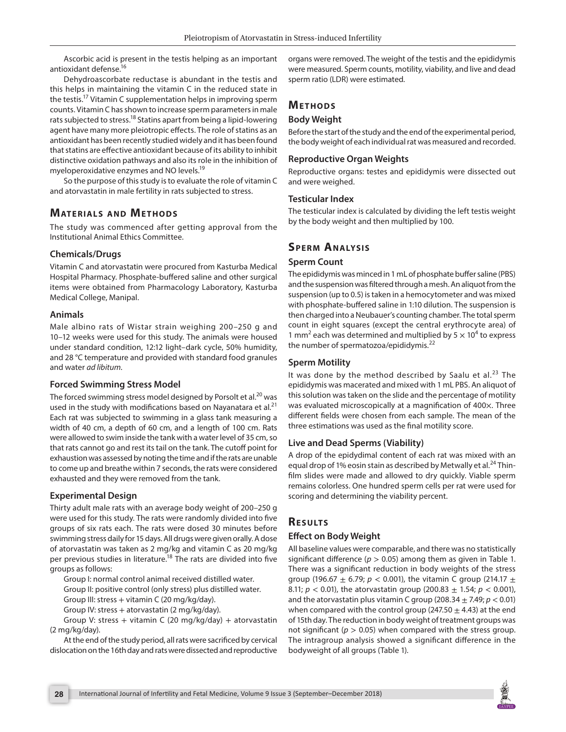Ascorbic acid is present in the testis helping as an important antioxidant defense.16

Dehydroascorbate reductase is abundant in the testis and this helps in maintaining the vitamin C in the reduced state in the testis.17 Vitamin C supplementation helps in improving sperm counts. Vitamin C has shown to increase sperm parameters in male rats subjected to stress.<sup>18</sup> Statins apart from being a lipid-lowering agent have many more pleiotropic effects. The role of statins as an antioxidant has been recently studied widely and it has been found that statins are effective antioxidant because of its ability to inhibit distinctive oxidation pathways and also its role in the inhibition of myeloperoxidative enzymes and NO levels.<sup>19</sup>

So the purpose of this study is to evaluate the role of vitamin C and atorvastatin in male fertility in rats subjected to stress.

# **MATERIALS AND METHODS**

The study was commenced after getting approval from the Institutional Animal Ethics Committee.

## **Chemicals/Drugs**

Vitamin C and atorvastatin were procured from Kasturba Medical Hospital Pharmacy. Phosphate-buffered saline and other surgical items were obtained from Pharmacology Laboratory, Kasturba Medical College, Manipal.

### **Animals**

Male albino rats of Wistar strain weighing 200–250 g and 10–12 weeks were used for this study. The animals were housed under standard condition, 12:12 light–dark cycle, 50% humidity, and 28 °C temperature and provided with standard food granules and water *ad libitum*.

### **Forced Swimming Stress Model**

The forced swimming stress model designed by Porsolt et al.<sup>20</sup> was used in the study with modifications based on Nayanatara et al. $21$ Each rat was subjected to swimming in a glass tank measuring a width of 40 cm, a depth of 60 cm, and a length of 100 cm. Rats were allowed to swim inside the tank with a water level of 35 cm, so that rats cannot go and rest its tail on the tank. The cutoff point for exhaustion was assessed by noting the time and if the rats are unable to come up and breathe within 7 seconds, the rats were considered exhausted and they were removed from the tank.

# **Experimental Design**

Thirty adult male rats with an average body weight of 200–250 g were used for this study. The rats were randomly divided into five groups of six rats each. The rats were dosed 30 minutes before swimming stress daily for 15 days. All drugs were given orally. A dose of atorvastatin was taken as 2 mg/kg and vitamin C as 20 mg/kg per previous studies in literature.<sup>18</sup> The rats are divided into five groups as follows:

Group I: normal control animal received distilled water.

Group II: positive control (only stress) plus distilled water.

Group III: stress + vitamin C (20 mg/kg/day).

Group IV: stress + atorvastatin (2 mg/kg/day).

Group V: stress + vitamin C (20 mg/kg/day) + atorvastatin (2 mg/kg/day).

At the end of the study period, all rats were sacrificed by cervical dislocation on the 16th day and rats were dissected and reproductive organs were removed. The weight of the testis and the epididymis were measured. Sperm counts, motility, viability, and live and dead sperm ratio (LDR) were estimated.

# **METHODS**

## **Body Weight**

Before the start of the study and the end of the experimental period, the body weight of each individual rat was measured and recorded.

## **Reproductive Organ Weights**

Reproductive organs: testes and epididymis were dissected out and were weighed.

### **Testicular Index**

The testicular index is calculated by dividing the left testis weight by the body weight and then multiplied by 100.

# **SPERM ANALYSIS**

# **Sperm Count**

The epididymis was minced in 1 mL of phosphate buffer saline (PBS) and the suspension was filtered through a mesh. An aliquot from the suspension (up to 0.5) is taken in a hemocytometer and was mixed with phosphate-buffered saline in 1:10 dilution. The suspension is then charged into a Neubauer's counting chamber. The total sperm count in eight squares (except the central erythrocyte area) of 1 mm<sup>2</sup> each was determined and multiplied by  $5 \times 10^4$  to express the number of spermatozoa/epididymis.<sup>22</sup>

# **Sperm Motility**

It was done by the method described by Saalu et al. $^{23}$  The epididymis was macerated and mixed with 1 mL PBS. An aliquot of this solution was taken on the slide and the percentage of motility was evaluated microscopically at a magnification of 400×. Three different fields were chosen from each sample. The mean of the three estimations was used as the final motility score.

# **Live and Dead Sperms (Viability)**

A drop of the epidydimal content of each rat was mixed with an equal drop of 1% eosin stain as described by Metwally et al.<sup>24</sup> Thinfilm slides were made and allowed to dry quickly. Viable sperm remains colorless. One hundred sperm cells per rat were used for scoring and determining the viability percent.

# **RESULTS**

# **Effect on Body Weight**

All baseline values were comparable, and there was no statistically significant difference ( $p > 0.05$ ) among them as given in Table 1. There was a significant reduction in body weights of the stress group (196.67  $\pm$  6.79;  $p < 0.001$ ), the vitamin C group (214.17  $\pm$ 8.11;  $p < 0.01$ ), the atorvastatin group (200.83  $\pm$  1.54;  $p < 0.001$ ), and the atorvastatin plus vitamin C group (208.34  $\pm$  7.49;  $p < 0.01$ ) when compared with the control group (247.50  $\pm$  4.43) at the end of 15th day. The reduction in body weight of treatment groups was not significant ( $p > 0.05$ ) when compared with the stress group. The intragroup analysis showed a significant difference in the bodyweight of all groups (Table 1).

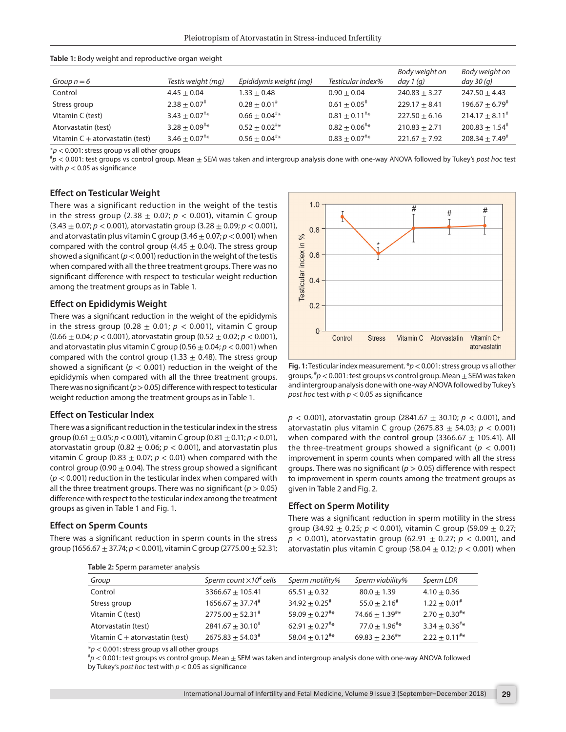| <b>Table 1.</b> body weight and reproductive organ weight |                                   |                             |                               |                              |                               |  |  |  |
|-----------------------------------------------------------|-----------------------------------|-----------------------------|-------------------------------|------------------------------|-------------------------------|--|--|--|
| Group $n = 6$                                             | Testis weight (mg)                | Epididymis weight (mg)      | Testicular index%             | Body weight on<br>day $1(q)$ | Body weight on<br>day $30(q)$ |  |  |  |
| Control                                                   | $4.45 \pm 0.04$                   | $1.33 \pm 0.48$             | $0.90 + 0.04$                 | $240.83 + 3.27$              | $247.50 + 4.43$               |  |  |  |
| Stress group                                              | $2.38 \pm 0.07^*$                 | $0.28 + 0.01$ <sup>#</sup>  | $0.61 \pm 0.05^*$             | $229.17 + 8.41$              | $196.67 \pm 6.79^{\text{*}}$  |  |  |  |
| Vitamin C (test)                                          | $3.43 \pm 0.07^{\text{#}}*$       | $0.66 + 0.04$ <sup>#*</sup> | $0.81 \pm 0.11^{*}$ *         | $227.50 + 6.16$              | $214.17 + 8.11^*$             |  |  |  |
| Atorvastatin (test)                                       | $3.28 \pm 0.09^{*} *$             | $0.52 + 0.02$ <sup>#*</sup> | $0.82 \pm 0.06^{*}$ *         | $210.83 + 2.71$              | $200.83 \pm 1.54^{\text{*}}$  |  |  |  |
| Vitamin $C +$ atorvastatin (test)                         | $3.46 \pm 0.07^{\text{#} \times}$ | $0.56 + 0.04^{**}$          | $0.83 \pm 0.07$ <sup>#*</sup> | $221.67 \pm 7.92$            | $208.34 \pm 7.49^{\text{*}}$  |  |  |  |

#### **Table 1:** Body weight and reproductive organ weight

 $*p$  < 0.001: stress group vs all other groups

*p* < 0.001: test groups vs control group. Mean ± SEM was taken and intergroup analysis done with one-way ANOVA followed by Tukey's *post hoc* test with  $p < 0.05$  as significance

#### **Effect on Testicular Weight**

There was a significant reduction in the weight of the testis in the stress group (2.38  $\pm$  0.07;  $p < 0.001$ ), vitamin C group (3.43 ± 0.07; *p* < 0.001), atorvastatin group (3.28 ± 0.09; *p* < 0.001), and atorvastatin plus vitamin C group  $(3.46 \pm 0.07; p < 0.001)$  when compared with the control group (4.45  $\pm$  0.04). The stress group showed a significant (*p*< 0.001) reduction in the weight of the testis when compared with all the three treatment groups. There was no significant difference with respect to testicular weight reduction among the treatment groups as in Table 1.

#### **Effect on Epididymis Weight**

There was a significant reduction in the weight of the epididymis in the stress group  $(0.28 \pm 0.01; p < 0.001)$ , vitamin C group (0.66 ± 0.04; *p* < 0.001), atorvastatin group (0.52 ± 0.02; *p* < 0.001), and atorvastatin plus vitamin C group  $(0.56 \pm 0.04; p < 0.001)$  when compared with the control group (1.33  $\pm$  0.48). The stress group showed a significant ( $p < 0.001$ ) reduction in the weight of the epididymis when compared with all the three treatment groups. There was no significant ( $p > 0.05$ ) difference with respect to testicular weight reduction among the treatment groups as in Table 1.

#### **Effect on Testicular Index**

There was a significant reduction in the testicular index in the stress group (0.61 ± 0.05; *p*< 0.001), vitamin C group (0.81 ± 0.11; *p*< 0.01), atorvastatin group (0.82  $\pm$  0.06;  $p < 0.001$ ), and atorvastatin plus vitamin C group (0.83  $\pm$  0.07;  $p < 0.01$ ) when compared with the control group (0.90  $\pm$  0.04). The stress group showed a significant (*p* < 0.001) reduction in the testicular index when compared with all the three treatment groups. There was no significant ( $p > 0.05$ ) difference with respect to the testicular index among the treatment groups as given in Table 1 and Fig. 1.

#### **Effect on Sperm Counts**

There was a significant reduction in sperm counts in the stress group (1656.67 ± 37.74; *p*< 0.001), vitamin C group (2775.00 ± 52.31;



**Fig. 1:** Testicular index measurement. \**p*< 0.001: stress group vs all other groups,  $^{\#}p$  < 0.001: test groups vs control group. Mean  $\pm$  SEM was taken and intergroup analysis done with one-way ANOVA followed by Tukey's *post hoc* test with *p* < 0.05 as significance

*p* < 0.001), atorvastatin group (2841.67 ± 30.10; *p* < 0.001), and atorvastatin plus vitamin C group (2675.83 ± 54.03; *p* < 0.001) when compared with the control group (3366.67  $\pm$  105.41). All the three-treatment groups showed a significant ( $p < 0.001$ ) improvement in sperm counts when compared with all the stress groups. There was no significant (*p* > 0.05) difference with respect to improvement in sperm counts among the treatment groups as given in Table 2 and Fig. 2.

#### **Effect on Sperm Motility**

There was a significant reduction in sperm motility in the stress group (34.92  $\pm$  0.25;  $p < 0.001$ ), vitamin C group (59.09  $\pm$  0.27;  $p$  < 0.001), atorvastatin group (62.91  $\pm$  0.27;  $p$  < 0.001), and atorvastatin plus vitamin C group (58.04  $\pm$  0.12;  $p < 0.001$ ) when

| Group                             | Sperm count $\times 10^4$ cells | Sperm motility%           | Sperm viability%          | Sperm LDR                 |
|-----------------------------------|---------------------------------|---------------------------|---------------------------|---------------------------|
| Control                           | $3366.67 + 105.41$              | $65.51 + 0.32$            | $80.0 + 1.39$             | $4.10 + 0.36$             |
| Stress group                      | $1656.67 \pm 37.74^*$           | $34.92 + 0.25^{\text{*}}$ | $55.0 + 2.16^{\text{*}}$  | $1.22 + 0.01$ #           |
| Vitamin C (test)                  | $2775.00 \pm 52.31^{\text{*}}$  | $59.09 \pm 0.27$ #*       | $74.66 \pm 1.39^{**}$     | $2.70 + 0.30^{4*}$        |
| Atorvastatin (test)               | $2841.67 + 30.10^{\text{*}}$    | $62.91 + 0.27^{\text{#}}$ | $77.0 + 1.96^{\text{#}*}$ | $3.34 + 0.36^{\text{#}*}$ |
| Vitamin $C +$ atorvastatin (test) | $2675.83 + 54.03^*$             | $58.04 + 0.12^{4*}$       | $69.83 \pm 2.36^{**}$     | $2.22 + 0.11^{+*}$        |

**Table 2:** Sperm parameter analysis

 $*p$  < 0.001: stress group vs all other groups

 $^{\#}p$  < 0.001: test groups vs control group. Mean  $\pm$  SEM was taken and intergroup analysis done with one-way ANOVA followed by Tukey's *post hoc* test with *p* < 0.05 as significance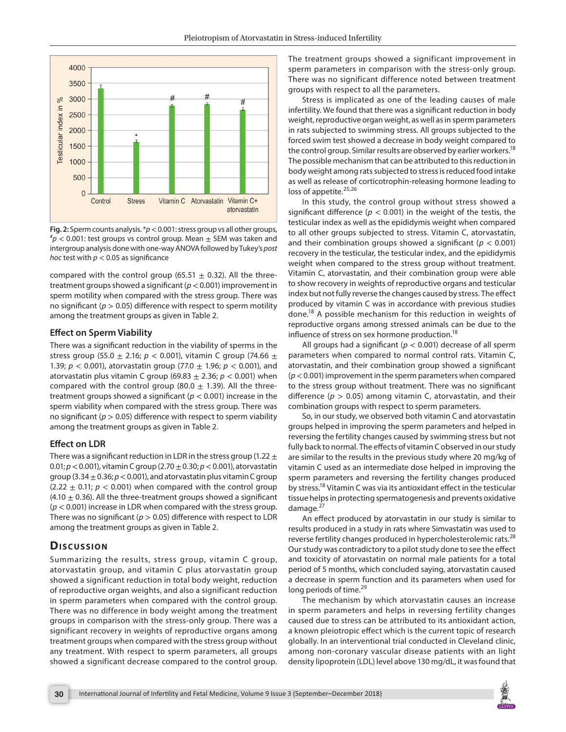

**Fig. 2:** Sperm counts analysis.  $*p < 0.001$ : stress group vs all other groups,  $p \nless 0.001$ : test groups vs control group. Mean  $\pm$  SEM was taken and intergroup analysis done with one-way ANOVA followed by Tukey's *post hoc* test with *p* < 0.05 as significance

compared with the control group (65.51  $\pm$  0.32). All the threetreatment groups showed a significant (*p*< 0.001) improvement in sperm motility when compared with the stress group. There was no significant (*p* > 0.05) difference with respect to sperm motility among the treatment groups as given in Table 2.

#### **Effect on Sperm Viability**

There was a significant reduction in the viability of sperms in the stress group (55.0 ± 2.16; *p* < 0.001), vitamin C group (74.66 ± 1.39; *p* < 0.001), atorvastatin group (77.0 ± 1.96; *p* < 0.001), and atorvastatin plus vitamin C group (69.83  $\pm$  2.36;  $p < 0.001$ ) when compared with the control group (80.0  $\pm$  1.39). All the threetreatment groups showed a significant (*p* < 0.001) increase in the sperm viability when compared with the stress group. There was no significant (*p* > 0.05) difference with respect to sperm viability among the treatment groups as given in Table 2.

#### **Effect on LDR**

There was a significant reduction in LDR in the stress group (1.22  $\pm$ 0.01; *p*< 0.001), vitamin C group (2.70 ± 0.30; *p*< 0.001), atorvastatin group (3.34  $\pm$  0.36;  $p$  < 0.001), and atorvastatin plus vitamin C group  $(2.22 \pm 0.11; p < 0.001)$  when compared with the control group  $(4.10 \pm 0.36)$ . All the three-treatment groups showed a significant (*p* < 0.001) increase in LDR when compared with the stress group. There was no significant ( $p > 0.05$ ) difference with respect to LDR among the treatment groups as given in Table 2.

### **Discussion**

Summarizing the results, stress group, vitamin C group, atorvastatin group, and vitamin C plus atorvastatin group showed a significant reduction in total body weight, reduction of reproductive organ weights, and also a significant reduction in sperm parameters when compared with the control group. There was no difference in body weight among the treatment groups in comparison with the stress-only group. There was a significant recovery in weights of reproductive organs among treatment groups when compared with the stress group without any treatment. With respect to sperm parameters, all groups showed a significant decrease compared to the control group.

The treatment groups showed a significant improvement in sperm parameters in comparison with the stress-only group. There was no significant difference noted between treatment groups with respect to all the parameters.

Stress is implicated as one of the leading causes of male infertility. We found that there was a significant reduction in body weight, reproductive organ weight, as well as in sperm parameters in rats subjected to swimming stress. All groups subjected to the forced swim test showed a decrease in body weight compared to the control group. Similar results are observed by earlier workers.<sup>18</sup> The possible mechanism that can be attributed to this reduction in body weight among rats subjected to stress is reduced food intake as well as release of corticotrophin-releasing hormone leading to loss of appetite.<sup>25,26</sup>

In this study, the control group without stress showed a significant difference ( $p < 0.001$ ) in the weight of the testis, the testicular index as well as the epididymis weight when compared to all other groups subjected to stress. Vitamin C, atorvastatin, and their combination groups showed a significant ( $p < 0.001$ ) recovery in the testicular, the testicular index, and the epididymis weight when compared to the stress group without treatment. Vitamin C, atorvastatin, and their combination group were able to show recovery in weights of reproductive organs and testicular index but not fully reverse the changes caused by stress. The effect produced by vitamin C was in accordance with previous studies done.<sup>18</sup> A possible mechanism for this reduction in weights of reproductive organs among stressed animals can be due to the influence of stress on sex hormone production.<sup>18</sup>

All groups had a significant (*p* < 0.001) decrease of all sperm parameters when compared to normal control rats. Vitamin C, atorvastatin, and their combination group showed a significant (*p*< 0.001) improvement in the sperm parameters when compared to the stress group without treatment. There was no significant difference ( $p > 0.05$ ) among vitamin C, atorvastatin, and their combination groups with respect to sperm parameters.

So, in our study, we observed both vitamin C and atorvastatin groups helped in improving the sperm parameters and helped in reversing the fertility changes caused by swimming stress but not fully back to normal. The effects of vitamin C observed in our study are similar to the results in the previous study where 20 mg/kg of vitamin C used as an intermediate dose helped in improving the sperm parameters and reversing the fertility changes produced by stress.18 Vitamin C was via its antioxidant effect in the testicular tissue helps in protecting spermatogenesis and prevents oxidative damage.<sup>27</sup>

An effect produced by atorvastatin in our study is similar to results produced in a study in rats where Simvastatin was used to reverse fertility changes produced in hypercholesterolemic rats.<sup>28</sup> Our study was contradictory to a pilot study done to see the effect and toxicity of atorvastatin on normal male patients for a total period of 5 months, which concluded saying, atorvastatin caused a decrease in sperm function and its parameters when used for long periods of time.<sup>29</sup>

The mechanism by which atorvastatin causes an increase in sperm parameters and helps in reversing fertility changes caused due to stress can be attributed to its antioxidant action, a known pleiotropic effect which is the current topic of research globally. In an interventional trial conducted in Cleveland clinic, among non-coronary vascular disease patients with an light density lipoprotein (LDL) level above 130 mg/dL, it was found that